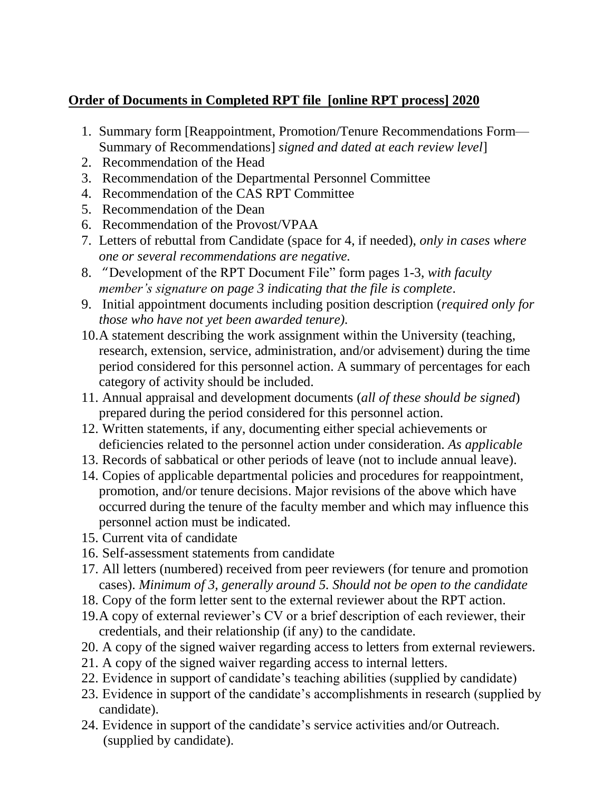## **Order of Documents in Completed RPT file [online RPT process] 2020**

- 1. Summary form [Reappointment, Promotion/Tenure Recommendations Form— Summary of Recommendations] *signed and dated at each review level*]
- 2. Recommendation of the Head
- 3. Recommendation of the Departmental Personnel Committee
- 4. Recommendation of the CAS RPT Committee
- 5. Recommendation of the Dean
- 6. Recommendation of the Provost/VPAA
- 7. Letters of rebuttal from Candidate (space for 4, if needed), *only in cases where one or several recommendations are negative.*
- 8. "Development of the RPT Document File" form pages 1-3, *with faculty member's signature on page 3 indicating that the file is complete*.
- 9. Initial appointment documents including position description (*required only for those who have not yet been awarded tenure).*
- 10.A statement describing the work assignment within the University (teaching, research, extension, service, administration, and/or advisement) during the time period considered for this personnel action. A summary of percentages for each category of activity should be included.
- 11. Annual appraisal and development documents (*all of these should be signed*) prepared during the period considered for this personnel action.
- 12. Written statements, if any, documenting either special achievements or deficiencies related to the personnel action under consideration. *As applicable*
- 13. Records of sabbatical or other periods of leave (not to include annual leave).
- 14. Copies of applicable departmental policies and procedures for reappointment, promotion, and/or tenure decisions. Major revisions of the above which have occurred during the tenure of the faculty member and which may influence this personnel action must be indicated.
- 15. Current vita of candidate
- 16. Self-assessment statements from candidate
- 17. All letters (numbered) received from peer reviewers (for tenure and promotion cases). *Minimum of 3, generally around 5. Should not be open to the candidate*
- 18. Copy of the form letter sent to the external reviewer about the RPT action.
- 19.A copy of external reviewer's CV or a brief description of each reviewer, their credentials, and their relationship (if any) to the candidate.
- 20. A copy of the signed waiver regarding access to letters from external reviewers.
- 21. A copy of the signed waiver regarding access to internal letters.
- 22. Evidence in support of candidate's teaching abilities (supplied by candidate)
- 23. Evidence in support of the candidate's accomplishments in research (supplied by candidate).
- 24. Evidence in support of the candidate's service activities and/or Outreach. (supplied by candidate).